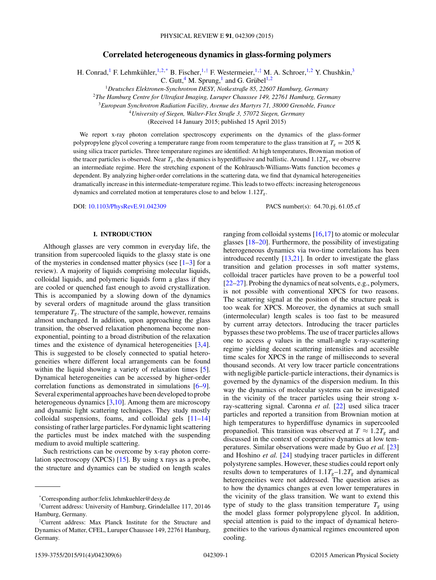# **Correlated heterogeneous dynamics in glass-forming polymers**

H. Conrad,<sup>1</sup> F. Lehmkühler, <sup>1,2,\*</sup> B. Fischer, <sup>1,†</sup> F. Westermeier, <sup>1,‡</sup> M. A. Schroer, <sup>1,2</sup> Y. Chushkin,<sup>3</sup>

C. Gutt, <sup>4</sup> M. Sprung,<sup>1</sup> and G. Grübel<sup>1,2</sup>

<sup>1</sup>*Deutsches Elektronen-Synchrotron DESY, Notkestraße 85, 22607 Hamburg, Germany*

<sup>2</sup>*The Hamburg Centre for Ultrafast Imaging, Luruper Chaussee 149, 22761 Hamburg, Germany*

<sup>3</sup>*European Synchrotron Radiation Facility, Avenue des Martyrs 71, 38000 Grenoble, France*

<sup>4</sup>*University of Siegen, Walter-Flex Straße 3, 57072 Siegen, Germany*

(Received 14 January 2015; published 15 April 2015)

We report x-ray photon correlation spectroscopy experiments on the dynamics of the glass-former polypropylene glycol covering a temperature range from room temperature to the glass transition at  $T_g = 205 \text{ K}$ using silica tracer particles. Three temperature regimes are identified: At high temperatures, Brownian motion of the tracer particles is observed. Near  $T_g$ , the dynamics is hyperdiffusive and ballistic. Around 1.12 $T_g$ , we observe an intermediate regime. Here the stretching exponent of the Kohlrausch-Williams-Watts function becomes *q* dependent. By analyzing higher-order correlations in the scattering data, we find that dynamical heterogeneities dramatically increase in this intermediate-temperature regime. This leads to two effects: increasing heterogeneous dynamics and correlated motion at temperatures close to and below 1*.*12*Tg*.

DOI: [10.1103/PhysRevE.91.042309](http://dx.doi.org/10.1103/PhysRevE.91.042309) PACS number(s): 64*.*70*.*pj*,* 61*.*05*.*cf

# **I. INTRODUCTION**

Although glasses are very common in everyday life, the transition from supercooled liquids to the glassy state is one of the mysteries in condensed matter physics (see  $[1-3]$  for a review). A majority of liquids comprising molecular liquids, colloidal liquids, and polymeric liquids form a glass if they are cooled or quenched fast enough to avoid crystallization. This is accompanied by a slowing down of the dynamics by several orders of magnitude around the glass transition temperature  $T_g$ . The structure of the sample, however, remains almost unchanged. In addition, upon approaching the glass transition, the observed relaxation phenomena become nonexponential, pointing to a broad distribution of the relaxation times and the existence of dynamical heterogeneities [\[3,4\]](#page-4-0). This is suggested to be closely connected to spatial heterogeneities where different local arrangements can be found within the liquid showing a variety of relaxation times [\[5\]](#page-4-0). Dynamical heterogeneities can be accessed by higher-order correlation functions as demonstrated in simulations [\[6–9\]](#page-4-0). Several experimental approaches have been developed to probe heterogeneous dynamics [\[3,10\]](#page-4-0). Among them are microscopy and dynamic light scattering techniques. They study mostly colloidal suspensions, foams, and colloidal gels [\[11–14\]](#page-4-0) consisting of rather large particles. For dynamic light scattering the particles must be index matched with the suspending medium to avoid multiple scattering.

Such restrictions can be overcome by x-ray photon correlation spectroscopy (XPCS)  $[15]$ . By using x rays as a probe, the structure and dynamics can be studied on length scales

ranging from colloidal systems [\[16,17\]](#page-4-0) to atomic or molecular glasses [\[18–20\]](#page-4-0). Furthermore, the possibility of investigating heterogeneous dynamics via two-time correlations has been introduced recently [\[13,21\]](#page-4-0). In order to investigate the glass transition and gelation processes in soft matter systems, colloidal tracer particles have proven to be a powerful tool [\[22–27\]](#page-4-0). Probing the dynamics of neat solvents, e.g., polymers, is not possible with conventional XPCS for two reasons. The scattering signal at the position of the structure peak is too weak for XPCS. Moreover, the dynamics at such small (intermolecular) length scales is too fast to be measured by current array detectors. Introducing the tracer particles bypasses these two problems. The use of tracer particles allows one to access *q* values in the small-angle x-ray-scattering regime yielding decent scattering intensities and accessible time scales for XPCS in the range of milliseconds to several thousand seconds. At very low tracer particle concentrations with negligible particle-particle interactions, their dynamics is governed by the dynamics of the dispersion medium. In this way the dynamics of molecular systems can be investigated in the vicinity of the tracer particles using their strong xray-scattering signal. Caronna *et al.* [\[22\]](#page-4-0) used silica tracer particles and reported a transition from Brownian motion at high temperatures to hyperdiffuse dynamics in supercooled propanediol. This transition was observed at  $T \approx 1.2T_g$  and discussed in the context of cooperative dynamics at low temperatures. Similar observations were made by Guo *et al.* [\[23\]](#page-4-0) and Hoshino *et al.* [\[24\]](#page-4-0) studying tracer particles in different polystyrene samples. However, these studies could report only results down to temperatures of  $1.1T<sub>g</sub> - 1.2T<sub>g</sub>$  and dynamical heterogeneities were not addressed. The question arises as to how the dynamics changes at even lower temperatures in the vicinity of the glass transition. We want to extend this type of study to the glass transition temperature  $T_g$  using the model glass former polypropylene glycol. In addition, special attention is paid to the impact of dynamical heterogeneities to the various dynamical regimes encountered upon cooling.

<sup>\*</sup>Corresponding author:felix.lehmkuehler@desy.de

<sup>†</sup> Current address: University of Hamburg, Grindelallee 117, 20146 Hamburg, Germany.

<sup>‡</sup> Current address: Max Planck Institute for the Structure and Dynamics of Matter, CFEL, Luruper Chaussee 149, 22761 Hamburg, Germany.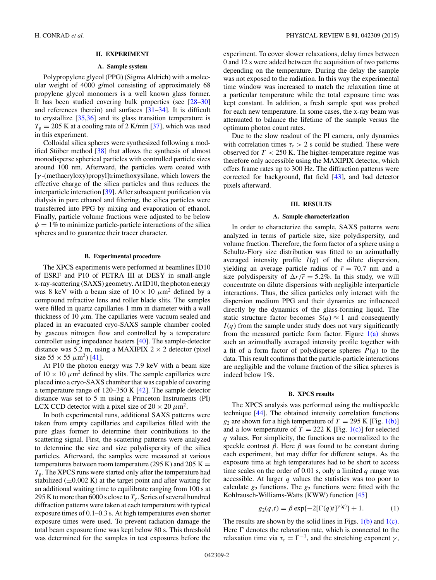## **II. EXPERIMENT**

# **A. Sample system**

<span id="page-1-0"></span>Polypropylene glycol (PPG) (Sigma Aldrich) with a molecular weight of 4000 g/mol consisting of approximately 68 propylene glycol monomers is a well known glass former. It has been studied covering bulk properties (see [\[28–30\]](#page-4-0) and references therein) and surfaces [\[31–34\]](#page-4-0). It is difficult to crystallize [\[35,36\]](#page-4-0) and its glass transition temperature is  $T_g = 205$  K at a cooling rate of 2 K/min [\[37\]](#page-4-0), which was used in this experiment.

Colloidal silica spheres were synthesized following a modified Stöber method  $\left[38\right]$  that allows the synthesis of almost monodisperse spherical particles with controlled particle sizes around 100 nm. Afterward, the particles were coated with [*γ* -(methacryloxy)propyl]trimethoxysilane, which lowers the effective charge of the silica particles and thus reduces the interparticle interaction [\[39\]](#page-4-0). After subsequent purification via dialysis in pure ethanol and filtering, the silica particles were transferred into PPG by mixing and evaporation of ethanol. Finally, particle volume fractions were adjusted to be below  $\phi = 1\%$  to minimize particle-particle interactions of the silica spheres and to guarantee their tracer character.

## **B. Experimental procedure**

The XPCS experiments were performed at beamlines ID10 of ESRF and P10 of PETRA III at DESY in small-angle x-ray-scattering (SAXS) geometry. At ID10, the photon energy was 8 keV with a beam size of  $10 \times 10 \ \mu m^2$  defined by a compound refractive lens and roller blade slits. The samples were filled in quartz capillaries 1 mm in diameter with a wall thickness of 10  $\mu$ m. The capillaries were vacuum sealed and placed in an evacuated cryo-SAXS sample chamber cooled by gaseous nitrogen flow and controlled by a temperature controller using impedance heaters [\[40\]](#page-5-0). The sample-detector distance was 5.2 m, using a MAXIPIX  $2 \times 2$  detector (pixel) size  $55 \times 55 \ \mu m^2$ ) [\[41\]](#page-5-0).

At P10 the photon energy was 7.9 keV with a beam size of  $10 \times 10 \ \mu \text{m}^2$  defined by slits. The sample capillaries were placed into a cryo-SAXS chamber that was capable of covering a temperature range of 120–350 K [\[42\]](#page-5-0). The sample detector distance was set to 5 m using a Princeton Instruments (PI) LCX CCD detector with a pixel size of  $20 \times 20 \ \mu \text{m}^2$ .

In both experimental runs, additional SAXS patterns were taken from empty capillaries and capillaries filled with the pure glass former to determine their contributions to the scattering signal. First, the scattering patterns were analyzed to determine the size and size polydispersity of the silica particles. Afterward, the samples were measured at various temperatures between room temperature (295 K) and 205 K  $=$  $T_{g}$ . The XPCS runs were started only after the temperature had stabilized  $(\pm 0.002 \text{ K})$  at the target point and after waiting for an additional waiting time to equilibrate ranging from 100 s at 295 K to more than 6000 s close to  $T_g$ . Series of several hundred diffraction patterns were taken at each temperature with typical exposure times of 0.1–0.3 s. At high temperatures even shorter exposure times were used. To prevent radiation damage the total beam exposure time was kept below 80 s. This threshold was determined for the samples in test exposures before the

experiment. To cover slower relaxations, delay times between 0 and 12 s were added between the acquisition of two patterns depending on the temperature. During the delay the sample was not exposed to the radiation. In this way the experimental time window was increased to match the relaxation time at a particular temperature while the total exposure time was kept constant. In addition, a fresh sample spot was probed for each new temperature. In some cases, the x-ray beam was attenuated to balance the lifetime of the sample versus the optimum photon count rates.

Due to the slow readout of the PI camera, only dynamics with correlation times  $\tau_c > 2$  s could be studied. These were observed for *T <* 250 K. The higher-temperature regime was therefore only accessible using the MAXIPIX detector, which offers frame rates up to 300 Hz. The diffraction patterns were corrected for background, flat field [\[43\]](#page-5-0), and bad detector pixels afterward.

## **III. RESULTS**

# **A. Sample characterization**

In order to characterize the sample, SAXS patterns were analyzed in terms of particle size, size polydispersity, and volume fraction. Therefore, the form factor of a sphere using a Schultz-Flory size distribution was fitted to an azimuthally averaged intensity profile  $I(q)$  of the dilute dispersion, yielding an average particle radius of  $\bar{r} = 70.7$  nm and a size polydispersity of  $\Delta r/\overline{r} = 5.2\%$ . In this study, we will concentrate on dilute dispersions with negligible interparticle interactions. Thus, the silica particles only interact with the dispersion medium PPG and their dynamics are influenced directly by the dynamics of the glass-forming liquid. The static structure factor becomes  $S(q) \approx 1$  and consequently  $I(q)$  from the sample under study does not vary significantly from the measured particle form factor. Figure  $1(a)$  shows such an azimuthally averaged intensity profile together with a fit of a form factor of polydisperse spheres  $P(q)$  to the data. This result confirms that the particle-particle interactions are negligible and the volume fraction of the silica spheres is indeed below 1%.

#### **B. XPCS results**

The XPCS analysis was performed using the multispeckle technique [\[44\]](#page-5-0). The obtained intensity correlation functions  $g_2$  are shown for a high temperature of  $T = 295$  K [Fig. [1\(b\)\]](#page-2-0) and a low temperature of  $T = 222$  K [Fig. [1\(c\)\]](#page-2-0) for selected *q* values. For simplicity, the functions are normalized to the speckle contrast  $\beta$ . Here  $\beta$  was found to be constant during each experiment, but may differ for different setups. As the exposure time at high temperatures had to be short to access time scales on the order of 0.01 s, only a limited *q* range was accessible. At larger *q* values the statistics was too poor to calculate  $g_2$  functions. The  $g_2$  functions were fitted with the Kohlrausch-Williams-Watts (KWW) function [\[45\]](#page-5-0)

$$
g_2(q,t) = \beta \exp\{-2[\Gamma(q)t]^{\gamma(q)}\} + 1.
$$
 (1)

The results are shown by the solid lines in Figs.  $1(b)$  and  $1(c)$ . Here  $\Gamma$  denotes the relaxation rate, which is connected to the relaxation time via  $\tau_c = \Gamma^{-1}$ , and the stretching exponent  $\gamma$ ,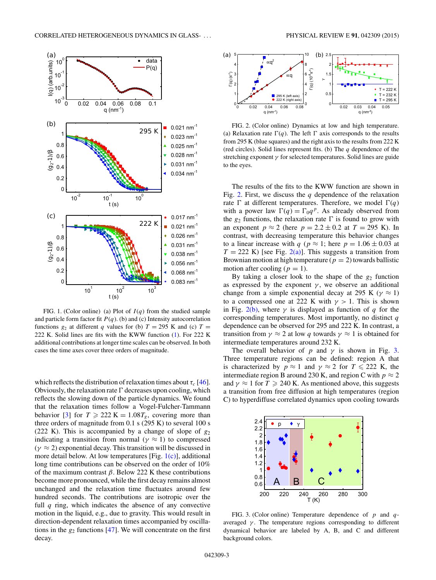<span id="page-2-0"></span>

FIG. 1. (Color online) (a) Plot of *I* (*q*) from the studied sample and particle form factor fit  $P(q)$ . (b) and (c) Intensity autocorrelation functions  $g_2$  at different *q* values for (b)  $T = 295$  K and (c)  $T =$ 222 K. Solid lines are fits with the KWW function [\(1\)](#page-1-0). For 222 K additional contributions at longer time scales can be observed. In both cases the time axes cover three orders of magnitude.

which reflects the distribution of relaxation times about  $\tau_c$  [\[46\]](#page-5-0). Obviously, the relaxation rate  $\Gamma$  decreases upon cooling, which reflects the slowing down of the particle dynamics. We found that the relaxation times follow a Vogel-Fulcher-Tammann behavior [\[3\]](#page-4-0) for  $T \ge 222$  K = 1.08 $T_g$ , covering more than three orders of magnitude from  $0.1$  s (295 K) to several 100 s (222 K). This is accompanied by a change of slope of *g*<sup>2</sup> indicating a transition from normal ( $\gamma \approx 1$ ) to compressed  $(\gamma \approx 2)$  exponential decay. This transition will be discussed in more detail below. At low temperatures [Fig.  $1(c)$ ], additional long time contributions can be observed on the order of 10% of the maximum contrast  $\beta$ . Below 222 K these contributions become more pronounced, while the first decay remains almost unchanged and the relaxation time fluctuates around few hundred seconds. The contributions are isotropic over the full *q* ring, which indicates the absence of any convective motion in the liquid, e.g., due to gravity. This would result in direction-dependent relaxation times accompanied by oscillations in the  $g_2$  functions  $[47]$ . We will concentrate on the first decay.



FIG. 2. (Color online) Dynamics at low and high temperature. (a) Relaxation rate  $\Gamma(q)$ . The left  $\Gamma$  axis corresponds to the results from 295 K (blue squares) and the right axis to the results from 222 K (red circles). Solid lines represent fits. (b) The *q* dependence of the stretching exponent *γ* for selected temperatures. Solid lines are guide to the eyes.

The results of the fits to the KWW function are shown in Fig. 2. First, we discuss the *q* dependence of the relaxation rate  $\Gamma$  at different temperatures. Therefore, we model  $\Gamma(q)$ with a power law  $\Gamma(q) = \Gamma_0 q^p$ . As already observed from the  $g_2$  functions, the relaxation rate  $\Gamma$  is found to grow with an exponent  $p \approx 2$  (here  $p = 2.2 \pm 0.2$  at  $T = 295$  K). In contrast, with decreasing temperature this behavior changes to a linear increase with *q* ( $p \approx 1$ ; here  $p = 1.06 \pm 0.03$  at  $T = 222$  K) [see Fig.  $2(a)$ ]. This suggests a transition from Brownian motion at high temperature ( $p = 2$ ) towards ballistic motion after cooling ( $p = 1$ ).

By taking a closer look to the shape of the  $g_2$  function as expressed by the exponent  $\gamma$ , we observe an additional change from a simple exponential decay at 295 K ( $\gamma \approx 1$ ) to a compressed one at 222 K with  $\gamma > 1$ . This is shown in Fig. 2(b), where  $\gamma$  is displayed as function of *q* for the corresponding temperatures. Most importantly, no distinct *q* dependence can be observed for 295 and 222 K. In contrast, a transition from  $\gamma \approx 2$  at low *q* towards  $\gamma \approx 1$  is obtained for intermediate temperatures around 232 K.

The overall behavior of *p* and  $\gamma$  is shown in Fig. 3. Three temperature regions can be defined: region A that is characterized by  $p \approx 1$  and  $\gamma \approx 2$  for  $T \le 222$  K, the intermediate region B around 230 K, and region C with  $p \approx 2$ and  $\gamma \approx 1$  for  $T \ge 240$  K. As mentioned above, this suggests a transition from free diffusion at high temperatures (region C) to hyperdiffuse correlated dynamics upon cooling towards



FIG. 3. (Color online) Temperature dependence of *p* and *q*averaged  $\gamma$ . The temperature regions corresponding to different dynamical behavior are labeled by A, B, and C and different background colors.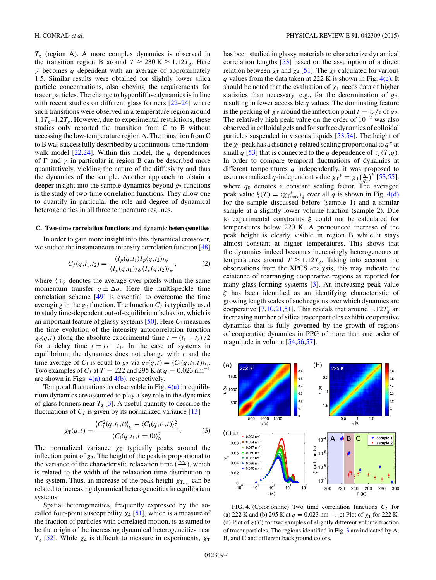$T_g$  (region A). A more complex dynamics is observed in the transition region B around  $T \approx 230 \text{ K} \approx 1.12 T_g$ . Here *γ* becomes *q* dependent with an average of approximately 1.5. Similar results were obtained for slightly lower silica particle concentrations, also obeying the requirements for tracer particles. The change to hyperdiffuse dynamics is in line with recent studies on different glass formers [\[22–24\]](#page-4-0) where such transitions were observed in a temperature region around  $1.1T<sub>g</sub>$ –1.2 $T<sub>g</sub>$ . However, due to experimental restrictions, these studies only reported the transition from C to B without accessing the low-temperature region A. The transition from C to B was successfully described by a continuous-time randomwalk model [\[22,24\]](#page-4-0). Within this model, the *q* dependences of  $\Gamma$  and  $\gamma$  in particular in region B can be described more quantitatively, yielding the nature of the diffusivity and thus the dynamics of the sample. Another approach to obtain a deeper insight into the sample dynamics beyond  $g_2$  functions is the study of two-time correlation functions. They allow one to quantify in particular the role and degree of dynamical heterogeneities in all three temperature regimes.

### **C. Two-time correlation functions and dynamic heterogeneities**

In order to gain more insight into this dynamical crossover, we studied the instantaneous intensity correlation function [\[48\]](#page-5-0)

$$
C_I(q,t_1,t_2) = \frac{\langle I_p(q,t_1)I_p(q,t_2)\rangle_{\psi}}{\langle I_p(q,t_1)\rangle_{\psi} \langle I_p(q,t_2)\rangle_{\psi}},\tag{2}
$$

where  $\langle \cdot \rangle_{\psi}$  denotes the average over pixels within the same momentum transfer  $q \pm \Delta q$ . Here the multispeckle time correlation scheme [\[49\]](#page-5-0) is essential to overcome the time averaging in the  $g_2$  function. The function  $C_I$  is typically used to study time-dependent out-of-equilibrium behavior, which is an important feature of glassy systems [\[50\]](#page-5-0). Here  $C<sub>I</sub>$  measures the time evolution of the intensity autocorrelation function  $g_2(q, \bar{t})$  along the absolute experimental time  $t = (t_1 + t_2)/2$ for a delay time  $\bar{t} = t_2 - t_1$ . In the case of systems in equilibrium, the dynamics does not change with *t* and the time average of  $C_I$  is equal to  $g_2$  via  $g_2(q,t) = \langle C_I(q,t_1,t) \rangle_{t_1}$ . Two examples of  $C_I$  at  $T = 222$  and 295 K at  $q = 0.023$  nm<sup>-1</sup> are shown in Figs.  $4(a)$  and  $4(b)$ , respectively.

Temporal fluctuations as observable in Fig.  $4(a)$  in equilibrium dynamics are assumed to play a key role in the dynamics of glass formers near  $T_g$  [\[3\]](#page-4-0). A useful quantity to describe the fluctuations of  $C_I$  is given by its normalized variance  $[13]$ 

$$
\chi_{\rm T}(q,t) = \frac{\langle C_{\rm I}^2(q,t_1,t) \rangle_{t_1} - \langle C_{\rm I}(q,t_1,t) \rangle_{t_1}^2}{\langle C_{\rm I}(q,t_1,t=0) \rangle_{t_1}^2}.
$$
 (3)

The normalized variance  $\chi_T$  typically peaks around the inflection point of  $g_2$ . The height of the peak is proportional to the variance of the characteristic relaxation time ( $\frac{\Delta \tau_c}{\tau_c}$ ), which is related to the width of the relaxation time distribution in the system. Thus, an increase of the peak height  $\chi_{\text{T}_{\text{max}}}$  can be related to increasing dynamical heterogeneities in equilibrium systems.

Spatial heterogeneities, frequently expressed by the socalled four-point susceptibility  $\chi_4$  [\[51\]](#page-5-0), which is a measure of the fraction of particles with correlated motion, is assumed to be the origin of the increasing dynamical heterogeneities near *T*<sub>g</sub> [\[52\]](#page-5-0). While  $χ$ <sub>4</sub> is difficult to measure in experiments,  $χ$ <sup>T</sup>

has been studied in glassy materials to characterize dynamical correlation lengths [\[53\]](#page-5-0) based on the assumption of a direct relation between  $\chi_T$  and  $\chi_4$  [\[51\]](#page-5-0). The  $\chi_T$  calculated for various *q* values from the data taken at 222 K is shown in Fig. 4(c). It should be noted that the evaluation of  $\chi_T$  needs data of higher statistics than necessary, e.g., for the determination of *g*2, resulting in fewer accessible *q* values. The dominating feature is the peaking of  $\chi_T$  around the inflection point  $t = \tau_c/e$  of  $g_2$ . The relatively high peak value on the order of  $10^{-2}$  was also observed in colloidal gels and for surface dynamics of colloidal particles suspended in viscous liquids [\[53,54\]](#page-5-0). The height of the  $\chi_T$  peak has a distinct *q*-related scaling proportional to  $q^p$  at small *q* [\[53\]](#page-5-0) that is connected to the *q* dependence of  $\tau_c$  (*T*,*q*). In order to compare temporal fluctuations of dynamics at different temperatures *q* independently, it was proposed to use a normalized *q*-independent value  $\chi_{\text{T}}^* = \chi_{\text{T}} \left( \frac{q}{q_0} \right)^p$  [\[53,55\]](#page-5-0), where *q*<sup>0</sup> denotes a constant scaling factor. The averaged peak value  $\xi(T) = \langle \chi_{T_{\text{max}}^*} \rangle_q$  over all *q* is shown in Fig. 4(d) for the sample discussed before (sample 1) and a similar sample at a slightly lower volume fraction (sample 2). Due to experimental constraints *ξ* could not be calculated for temperatures below 220 K. A pronounced increase of the peak height is clearly visible in region B while it stays almost constant at higher temperatures. This shows that the dynamics indeed becomes increasingly heterogeneous at temperatures around  $T \approx 1.12T_g$ . Taking into account the observations from the XPCS analysis, this may indicate the existence of rearranging cooperative regions as reported for many glass-forming systems [\[3\]](#page-4-0). An increasing peak value *ξ* has been identified as an identifying characteristic of growing length scales of such regions over which dynamics are cooperative [\[7,10,21](#page-4-0)[,51\]](#page-5-0). This reveals that around  $1.12T_g$  an increasing number of silica tracer particles exhibit cooperative dynamics that is fully governed by the growth of regions of cooperative dynamics in PPG of more than one order of magnitude in volume [\[54,56,57\]](#page-5-0).



FIG. 4. (Color online) Two time correlation functions  $C_I$  for (a) 222 K and (b) 295 K at  $q = 0.023$  nm<sup>-1</sup>. (c) Plot of  $\chi_{\rm T}$  for 222 K. (d) Plot of *ξ* (*T* ) for two samples of slightly different volume fraction of tracer particles. The regions identified in Fig. [3](#page-2-0) are indicated by A, B, and C and different background colors.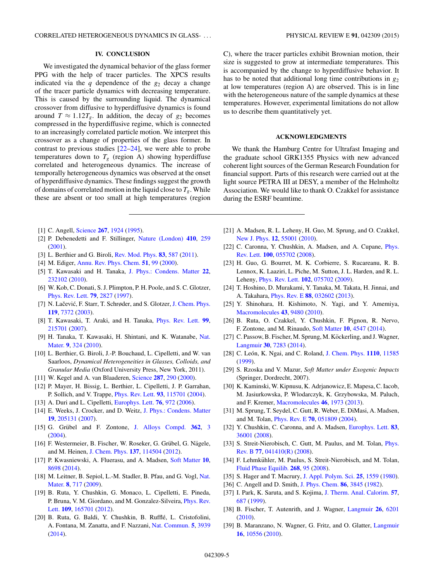# **IV. CONCLUSION**

<span id="page-4-0"></span>We investigated the dynamical behavior of the glass former PPG with the help of tracer particles. The XPCS results indicated via the  $q$  dependence of the  $g_2$  decay a change of the tracer particle dynamics with decreasing temperature. This is caused by the surrounding liquid. The dynamical crossover from diffusive to hyperdiffusive dynamics is found around  $T \approx 1.12T_g$ . In addition, the decay of  $g_2$  becomes compressed in the hyperdiffusive regime, which is connected to an increasingly correlated particle motion. We interpret this crossover as a change of properties of the glass former. In contrast to previous studies  $[22-24]$ , we were able to probe temperatures down to  $T_g$  (region A) showing hyperdiffuse correlated and heterogeneous dynamics. The increase of temporally heterogeneous dynamics was observed at the onset of hyperdiffusive dynamics. These findings suggest the growth of domains of correlated motion in the liquid close to  $T_g$ . While these are absent or too small at high temperatures (region

- [1] C. Angell, [Science](http://dx.doi.org/10.1126/science.267.5206.1924) **[267](http://dx.doi.org/10.1126/science.267.5206.1924)**, [1924](http://dx.doi.org/10.1126/science.267.5206.1924) [\(1995\)](http://dx.doi.org/10.1126/science.267.5206.1924).
- [2] P. Debenedetti and F. Stillinger, [Nature \(London\)](http://dx.doi.org/10.1038/35065704) **[410](http://dx.doi.org/10.1038/35065704)**, [259](http://dx.doi.org/10.1038/35065704) [\(2001\)](http://dx.doi.org/10.1038/35065704).
- [3] L. Berthier and G. Biroli, [Rev. Mod. Phys.](http://dx.doi.org/10.1103/RevModPhys.83.587) **[83](http://dx.doi.org/10.1103/RevModPhys.83.587)**, [587](http://dx.doi.org/10.1103/RevModPhys.83.587) [\(2011\)](http://dx.doi.org/10.1103/RevModPhys.83.587).
- [4] M. Ediger, [Annu. Rev. Phys. Chem.](http://dx.doi.org/10.1146/annurev.physchem.51.1.99) **[51](http://dx.doi.org/10.1146/annurev.physchem.51.1.99)**, [99](http://dx.doi.org/10.1146/annurev.physchem.51.1.99) [\(2000\)](http://dx.doi.org/10.1146/annurev.physchem.51.1.99).
- [5] T. Kawasaki and H. Tanaka, [J. Phys.: Condens. Matter](http://dx.doi.org/10.1088/0953-8984/22/23/232102) **[22](http://dx.doi.org/10.1088/0953-8984/22/23/232102)**, [232102](http://dx.doi.org/10.1088/0953-8984/22/23/232102) [\(2010\)](http://dx.doi.org/10.1088/0953-8984/22/23/232102).
- [6] W. Kob, C. Donati, S. J. Plimpton, P. H. Poole, and S. C. Glotzer, [Phys. Rev. Lett.](http://dx.doi.org/10.1103/PhysRevLett.79.2827) **[79](http://dx.doi.org/10.1103/PhysRevLett.79.2827)**, [2827](http://dx.doi.org/10.1103/PhysRevLett.79.2827) [\(1997\)](http://dx.doi.org/10.1103/PhysRevLett.79.2827).
- [7] N. Lačević, F. Starr, T. Schrøder, and S. Glotzer, [J. Chem. Phys.](http://dx.doi.org/10.1063/1.1605094) **[119](http://dx.doi.org/10.1063/1.1605094)**, [7372](http://dx.doi.org/10.1063/1.1605094) [\(2003\)](http://dx.doi.org/10.1063/1.1605094).
- [8] T. Kawasaki, T. Araki, and H. Tanaka, [Phys. Rev. Lett.](http://dx.doi.org/10.1103/PhysRevLett.99.215701) **[99](http://dx.doi.org/10.1103/PhysRevLett.99.215701)**, [215701](http://dx.doi.org/10.1103/PhysRevLett.99.215701) [\(2007\)](http://dx.doi.org/10.1103/PhysRevLett.99.215701).
- [9] [H. Tanaka, T. Kawasaki, H. Shintani, and K. Watanabe,](http://dx.doi.org/10.1038/nmat2634) Nat. Mater. **[9](http://dx.doi.org/10.1038/nmat2634)**, [324](http://dx.doi.org/10.1038/nmat2634) [\(2010\)](http://dx.doi.org/10.1038/nmat2634).
- [10] L. Berthier, G. Biroli, J.-P. Bouchaud, L. Cipelletti, and W. van Saarloos, *Dynamical Heterogeneities in Glasses, Colloids, and Granular Media* (Oxford University Press, New York, 2011).
- [11] W. Kegel and A. van Blaaderen, [Science](http://dx.doi.org/10.1126/science.287.5451.290) **[287](http://dx.doi.org/10.1126/science.287.5451.290)**, [290](http://dx.doi.org/10.1126/science.287.5451.290) [\(2000\)](http://dx.doi.org/10.1126/science.287.5451.290).
- [12] P. Mayer, H. Bissig, L. Berthier, L. Cipelletti, J. P. Garrahan, P. Sollich, and V. Trappe, [Phys. Rev. Lett.](http://dx.doi.org/10.1103/PhysRevLett.93.115701) **[93](http://dx.doi.org/10.1103/PhysRevLett.93.115701)**, [115701](http://dx.doi.org/10.1103/PhysRevLett.93.115701) [\(2004\)](http://dx.doi.org/10.1103/PhysRevLett.93.115701).
- [13] A. Duri and L. Cipelletti, [Europhys. Lett.](http://dx.doi.org/10.1209/epl/i2006-10357-4) **[76](http://dx.doi.org/10.1209/epl/i2006-10357-4)**, [972](http://dx.doi.org/10.1209/epl/i2006-10357-4) [\(2006\)](http://dx.doi.org/10.1209/epl/i2006-10357-4).
- [14] E. Weeks, J. Crocker, and D. Weitz, [J. Phys.: Condens. Matter](http://dx.doi.org/10.1088/0953-8984/19/20/205131) **[19](http://dx.doi.org/10.1088/0953-8984/19/20/205131)**, [205131](http://dx.doi.org/10.1088/0953-8984/19/20/205131) [\(2007\)](http://dx.doi.org/10.1088/0953-8984/19/20/205131).
- [15] G. Grübel and F. Zontone, [J. Alloys Compd.](http://dx.doi.org/10.1016/S0925-8388(03)00555-3) [362](http://dx.doi.org/10.1016/S0925-8388(03)00555-3), [3](http://dx.doi.org/10.1016/S0925-8388(03)00555-3) [\(2004\)](http://dx.doi.org/10.1016/S0925-8388(03)00555-3).
- [16] F. Westermeier, B. Fischer, W. Roseker, G. Grübel, G. Nägele, and M. Heinen, [J. Chem. Phys.](http://dx.doi.org/10.1063/1.4751544) **[137](http://dx.doi.org/10.1063/1.4751544)**, [114504](http://dx.doi.org/10.1063/1.4751544) [\(2012\)](http://dx.doi.org/10.1063/1.4751544).
- [17] P. Kwasniewski, A. Fluerasu, and A. Madsen, [Soft Matter](http://dx.doi.org/10.1039/C4SM01671H) **[10](http://dx.doi.org/10.1039/C4SM01671H)**, [8698](http://dx.doi.org/10.1039/C4SM01671H) [\(2014\)](http://dx.doi.org/10.1039/C4SM01671H).
- [18] [M. Leitner, B. Sepiol, L.-M. Stadler, B. Pfau, and G. Vogl,](http://dx.doi.org/10.1038/nmat2506) Nat. Mater. **[8](http://dx.doi.org/10.1038/nmat2506)**, [717](http://dx.doi.org/10.1038/nmat2506) [\(2009\)](http://dx.doi.org/10.1038/nmat2506).
- [19] B. Ruta, Y. Chushkin, G. Monaco, L. Cipelletti, E. Pineda, [P. Bruna, V. M. Giordano, and M. Gonzalez-Silveira,](http://dx.doi.org/10.1103/PhysRevLett.109.165701) Phys. Rev. Lett. **[109](http://dx.doi.org/10.1103/PhysRevLett.109.165701)**, [165701](http://dx.doi.org/10.1103/PhysRevLett.109.165701) [\(2012\)](http://dx.doi.org/10.1103/PhysRevLett.109.165701).
- [20] B. Ruta, G. Baldi, Y. Chushkin, B. Rufflé, L. Cristofolini, A. Fontana, M. Zanatta, and F. Nazzani, [Nat. Commun.](http://dx.doi.org/10.1038/ncomms4939) **[5](http://dx.doi.org/10.1038/ncomms4939)**, [3939](http://dx.doi.org/10.1038/ncomms4939) [\(2014\)](http://dx.doi.org/10.1038/ncomms4939).

C), where the tracer particles exhibit Brownian motion, their size is suggested to grow at intermediate temperatures. This is accompanied by the change to hyperdiffusive behavior. It has to be noted that additional long time contributions in *g*<sup>2</sup> at low temperatures (region A) are observed. This is in line with the heterogeneous nature of the sample dynamics at these temperatures. However, experimental limitations do not allow us to describe them quantitatively yet.

#### **ACKNOWLEDGMENTS**

We thank the Hamburg Centre for Ultrafast Imaging and the graduate school GRK1355 Physics with new advanced coherent light sources of the German Research Foundation for financial support. Parts of this research were carried out at the light source PETRA III at DESY, a member of the Helmholtz Association. We would like to thank O. Czakkel for assistance during the ESRF beamtime.

- [21] A. Madsen, R. L. Leheny, H. Guo, M. Sprung, and O. Czakkel, [New J. Phys.](http://dx.doi.org/10.1088/1367-2630/12/5/055001) **[12](http://dx.doi.org/10.1088/1367-2630/12/5/055001)**, [55001](http://dx.doi.org/10.1088/1367-2630/12/5/055001) [\(2010\)](http://dx.doi.org/10.1088/1367-2630/12/5/055001).
- [22] [C. Caronna, Y. Chushkin, A. Madsen, and A. Cupane,](http://dx.doi.org/10.1103/PhysRevLett.100.055702) *Phys.* Rev. Lett. **[100](http://dx.doi.org/10.1103/PhysRevLett.100.055702)**, [055702](http://dx.doi.org/10.1103/PhysRevLett.100.055702) [\(2008\)](http://dx.doi.org/10.1103/PhysRevLett.100.055702).
- [23] H. Guo, G. Bourret, M. K. Corbierre, S. Rucareanu, R. B. Lennox, K. Laaziri, L. Piche, M. Sutton, J. L. Harden, and R. L. Leheny, [Phys. Rev. Lett.](http://dx.doi.org/10.1103/PhysRevLett.102.075702) **[102](http://dx.doi.org/10.1103/PhysRevLett.102.075702)**, [075702](http://dx.doi.org/10.1103/PhysRevLett.102.075702) [\(2009\)](http://dx.doi.org/10.1103/PhysRevLett.102.075702).
- [24] T. Hoshino, D. Murakami, Y. Tanaka, M. Takata, H. Jinnai, and A. Takahara, [Phys. Rev. E](http://dx.doi.org/10.1103/PhysRevE.88.032602) **[88](http://dx.doi.org/10.1103/PhysRevE.88.032602)**, [032602](http://dx.doi.org/10.1103/PhysRevE.88.032602) [\(2013\)](http://dx.doi.org/10.1103/PhysRevE.88.032602).
- [25] Y. Shinohara, H. Kishimoto, N. Yagi, and Y. Amemiya, [Macromolecules](http://dx.doi.org/10.1021/ma102095b) **[43](http://dx.doi.org/10.1021/ma102095b)**, [9480](http://dx.doi.org/10.1021/ma102095b) [\(2010\)](http://dx.doi.org/10.1021/ma102095b).
- [26] B. Ruta, O. Czakkel, Y. Chushkin, F. Pignon, R. Nervo, F. Zontone, and M. Rinaudo, [Soft Matter](http://dx.doi.org/10.1039/c4sm00704b) **[10](http://dx.doi.org/10.1039/c4sm00704b)**, [4547](http://dx.doi.org/10.1039/c4sm00704b) [\(2014\)](http://dx.doi.org/10.1039/c4sm00704b).
- [27] C. Passow, B. Fischer, M. Sprung, M. Köckerling, and J. Wagner, [Langmuir](http://dx.doi.org/10.1021/la500658x) **[30](http://dx.doi.org/10.1021/la500658x)**, [7283](http://dx.doi.org/10.1021/la500658x) [\(2014\)](http://dx.doi.org/10.1021/la500658x).
- [28] C. León, K. Ngai, and C. Roland, [J. Chem. Phys.](http://dx.doi.org/10.1063/1.478006) [1110](http://dx.doi.org/10.1063/1.478006), [11585](http://dx.doi.org/10.1063/1.478006) [\(1999\)](http://dx.doi.org/10.1063/1.478006).
- [29] S. Rzoska and V. Mazur, *Soft Matter under Exogenic Impacts* (Springer, Dordrecht, 2007).
- [30] K. Kaminski, W. Kipnusu, K. Adrjanowicz, E. Mapesa, C. Iacob, M. Jasiurkowska, P. Wlodarczyk, K. Grzybowska, M. Paluch, and F. Kremer, [Macromolecules](http://dx.doi.org/10.1021/ma302611x) **[46](http://dx.doi.org/10.1021/ma302611x)**, [1973](http://dx.doi.org/10.1021/ma302611x) [\(2013\)](http://dx.doi.org/10.1021/ma302611x).
- [31] M. Sprung, T. Seydel, C. Gutt, R. Weber, E. DiMasi, A. Madsen, and M. Tolan, [Phys. Rev. E](http://dx.doi.org/10.1103/PhysRevE.70.051809) **[70](http://dx.doi.org/10.1103/PhysRevE.70.051809)**, [051809](http://dx.doi.org/10.1103/PhysRevE.70.051809) [\(2004\)](http://dx.doi.org/10.1103/PhysRevE.70.051809).
- [32] Y. Chushkin, C. Caronna, and A. Madsen, [Europhys. Lett.](http://dx.doi.org/10.1209/0295-5075/83/36001) **[83](http://dx.doi.org/10.1209/0295-5075/83/36001)**, [36001](http://dx.doi.org/10.1209/0295-5075/83/36001) [\(2008\)](http://dx.doi.org/10.1209/0295-5075/83/36001).
- [33] [S. Streit-Nierobisch, C. Gutt, M. Paulus, and M. Tolan,](http://dx.doi.org/10.1103/PhysRevB.77.041410) *Phys.* Rev. B **[77](http://dx.doi.org/10.1103/PhysRevB.77.041410)**, [041410\(R\)](http://dx.doi.org/10.1103/PhysRevB.77.041410) [\(2008\)](http://dx.doi.org/10.1103/PhysRevB.77.041410).
- [34] F. Lehmkühler, M. Paulus, S. Streit-Nierobisch, and M. Tolan, [Fluid Phase Equilib.](http://dx.doi.org/10.1016/j.fluid.2008.04.007) **[268](http://dx.doi.org/10.1016/j.fluid.2008.04.007)**, [95](http://dx.doi.org/10.1016/j.fluid.2008.04.007) [\(2008\)](http://dx.doi.org/10.1016/j.fluid.2008.04.007).
- [35] S. Hager and T. Macrury, [J. Appl. Polym. Sci.](http://dx.doi.org/10.1002/app.1980.070250805) **[25](http://dx.doi.org/10.1002/app.1980.070250805)**, [1559](http://dx.doi.org/10.1002/app.1980.070250805) [\(1980\)](http://dx.doi.org/10.1002/app.1980.070250805).
- [36] C. Angell and D. Smith, [J. Phys. Chem.](http://dx.doi.org/10.1021/j100216a028) **[86](http://dx.doi.org/10.1021/j100216a028)**, [3845](http://dx.doi.org/10.1021/j100216a028) [\(1982\)](http://dx.doi.org/10.1021/j100216a028).
- [37] I. Park, K. Saruta, and S. Kojima, [J. Therm. Anal. Calorim.](http://dx.doi.org/10.1023/A:1010140730325) **[57](http://dx.doi.org/10.1023/A:1010140730325)**, [687](http://dx.doi.org/10.1023/A:1010140730325) [\(1999\)](http://dx.doi.org/10.1023/A:1010140730325).
- [38] B. Fischer, T. Autenrith, and J. Wagner, [Langmuir](http://dx.doi.org/10.1021/la903872a) **[26](http://dx.doi.org/10.1021/la903872a)**, [6201](http://dx.doi.org/10.1021/la903872a) [\(2010\)](http://dx.doi.org/10.1021/la903872a).
- [39] B. Maranzano, N. Wagner, G. Fritz, and O. Glatter, [Langmuir](http://dx.doi.org/10.1021/la0007426) **[16](http://dx.doi.org/10.1021/la0007426)**, [10556](http://dx.doi.org/10.1021/la0007426) [\(2010\)](http://dx.doi.org/10.1021/la0007426).